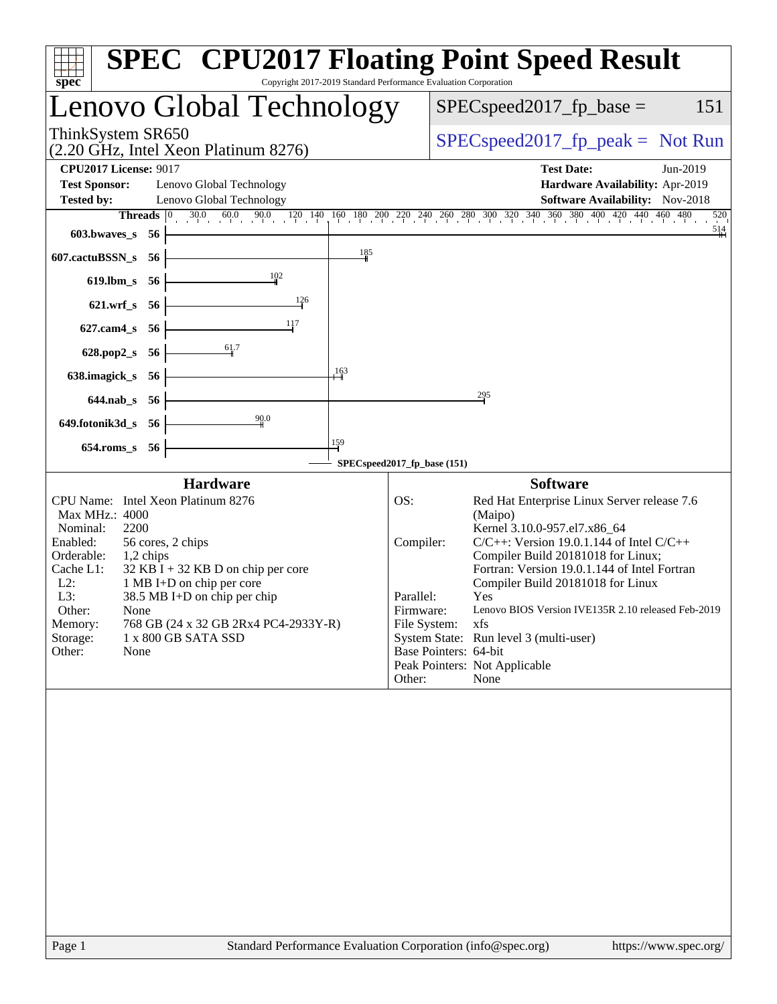| spec                                                                                                                                                                                                                                                                                                                                                                                              | <b>SPEC<sup>®</sup></b> CPU2017 Floating Point Speed Result<br>Copyright 2017-2019 Standard Performance Evaluation Corporation                                                                                                                                                                                                                                                                                                                                                                                             |
|---------------------------------------------------------------------------------------------------------------------------------------------------------------------------------------------------------------------------------------------------------------------------------------------------------------------------------------------------------------------------------------------------|----------------------------------------------------------------------------------------------------------------------------------------------------------------------------------------------------------------------------------------------------------------------------------------------------------------------------------------------------------------------------------------------------------------------------------------------------------------------------------------------------------------------------|
| Lenovo Global Technology                                                                                                                                                                                                                                                                                                                                                                          | $SPEC speed2017_fp\_base =$<br>151                                                                                                                                                                                                                                                                                                                                                                                                                                                                                         |
| ThinkSystem SR650<br>(2.20 GHz, Intel Xeon Platinum 8276)                                                                                                                                                                                                                                                                                                                                         | $SPEC speed2017fr peak = Not Run$                                                                                                                                                                                                                                                                                                                                                                                                                                                                                          |
| <b>CPU2017 License: 9017</b>                                                                                                                                                                                                                                                                                                                                                                      | <b>Test Date:</b><br>Jun-2019                                                                                                                                                                                                                                                                                                                                                                                                                                                                                              |
| <b>Test Sponsor:</b><br>Lenovo Global Technology                                                                                                                                                                                                                                                                                                                                                  | Hardware Availability: Apr-2019                                                                                                                                                                                                                                                                                                                                                                                                                                                                                            |
| Lenovo Global Technology<br><b>Tested by:</b><br>$30.0$ $60.0$ $90.0$<br>Threads $ 0 $                                                                                                                                                                                                                                                                                                            | <b>Software Availability:</b> Nov-2018<br>$120 \quad 140 \quad 160 \quad 180 \quad 200 \quad 220 \quad 240 \quad 260 \quad 280 \quad 300 \quad 320 \quad 340 \quad 360 \quad 380 \quad 400 \quad 420 \quad 440 \quad 460 \quad 480$<br>520                                                                                                                                                                                                                                                                                 |
| 603.bwaves_s<br>-56                                                                                                                                                                                                                                                                                                                                                                               | $\frac{514}{ }$                                                                                                                                                                                                                                                                                                                                                                                                                                                                                                            |
| 185<br>607.cactuBSSN_s<br>- 56                                                                                                                                                                                                                                                                                                                                                                    |                                                                                                                                                                                                                                                                                                                                                                                                                                                                                                                            |
| 102<br>$619$ .lbm_s<br>- 56                                                                                                                                                                                                                                                                                                                                                                       |                                                                                                                                                                                                                                                                                                                                                                                                                                                                                                                            |
| 126<br>$621.wrf$ s<br>-56                                                                                                                                                                                                                                                                                                                                                                         |                                                                                                                                                                                                                                                                                                                                                                                                                                                                                                                            |
| 117<br>$627$ .cam $4$ <sub>_S</sub><br>56                                                                                                                                                                                                                                                                                                                                                         |                                                                                                                                                                                                                                                                                                                                                                                                                                                                                                                            |
| 61.7<br>628.pop2_s<br>-56                                                                                                                                                                                                                                                                                                                                                                         |                                                                                                                                                                                                                                                                                                                                                                                                                                                                                                                            |
| 163<br>638.imagick_s<br>- 56                                                                                                                                                                                                                                                                                                                                                                      |                                                                                                                                                                                                                                                                                                                                                                                                                                                                                                                            |
| $644$ .nab s 56                                                                                                                                                                                                                                                                                                                                                                                   | 295                                                                                                                                                                                                                                                                                                                                                                                                                                                                                                                        |
| 90.0<br>649.fotonik3d_s<br>-56                                                                                                                                                                                                                                                                                                                                                                    |                                                                                                                                                                                                                                                                                                                                                                                                                                                                                                                            |
| 159<br>$654$ .roms_s<br>-56                                                                                                                                                                                                                                                                                                                                                                       |                                                                                                                                                                                                                                                                                                                                                                                                                                                                                                                            |
|                                                                                                                                                                                                                                                                                                                                                                                                   | SPECspeed2017_fp_base (151)                                                                                                                                                                                                                                                                                                                                                                                                                                                                                                |
| <b>Hardware</b>                                                                                                                                                                                                                                                                                                                                                                                   | <b>Software</b>                                                                                                                                                                                                                                                                                                                                                                                                                                                                                                            |
| CPU Name: Intel Xeon Platinum 8276<br>Max MHz.: 4000<br>Nominal:<br>2200<br>Enabled:<br>56 cores, 2 chips<br>Orderable:<br>1,2 chips<br>Cache L1:<br>$32$ KB I + 32 KB D on chip per core<br>$L2$ :<br>1 MB I+D on chip per core<br>L3:<br>38.5 MB I+D on chip per chip<br>Other:<br>None<br>768 GB (24 x 32 GB 2Rx4 PC4-2933Y-R)<br>Memory:<br>1 x 800 GB SATA SSD<br>Storage:<br>None<br>Other: | OS:<br>Red Hat Enterprise Linux Server release 7.6<br>(Maipo)<br>Kernel 3.10.0-957.el7.x86_64<br>$C/C++$ : Version 19.0.1.144 of Intel $C/C++$<br>Compiler:<br>Compiler Build 20181018 for Linux;<br>Fortran: Version 19.0.1.144 of Intel Fortran<br>Compiler Build 20181018 for Linux<br>Parallel:<br>Yes<br>Lenovo BIOS Version IVE135R 2.10 released Feb-2019<br>Firmware:<br>File System:<br>xfs<br>System State: Run level 3 (multi-user)<br>Base Pointers: 64-bit<br>Peak Pointers: Not Applicable<br>Other:<br>None |
|                                                                                                                                                                                                                                                                                                                                                                                                   |                                                                                                                                                                                                                                                                                                                                                                                                                                                                                                                            |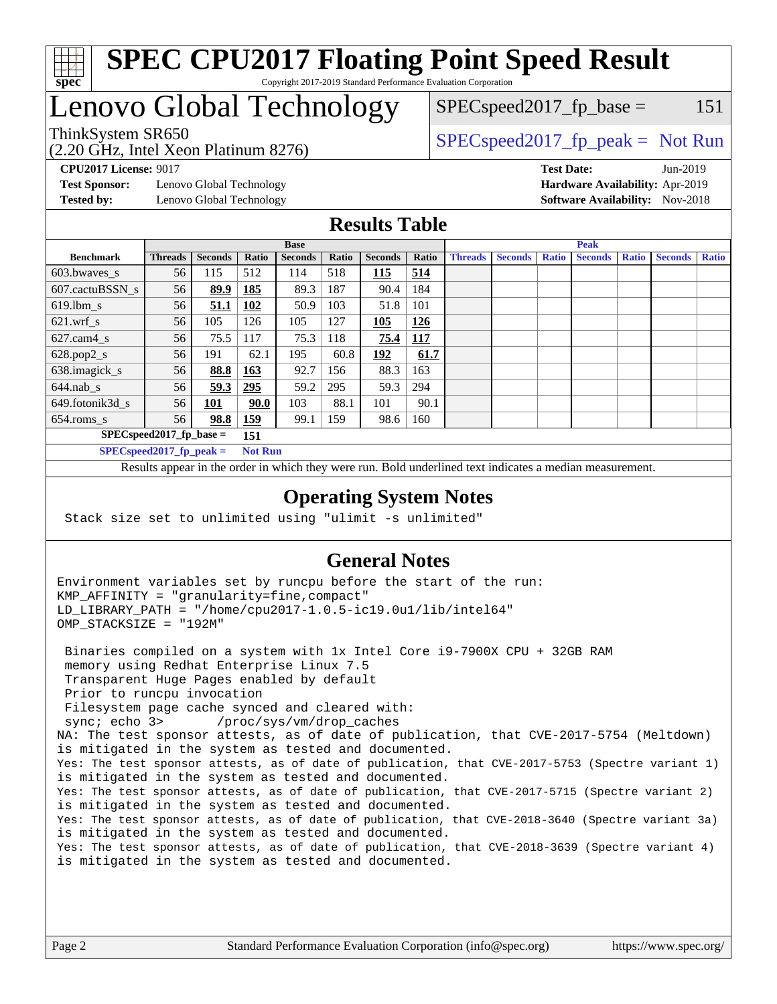

#### **[SPEC CPU2017 Floating Point Speed Result](http://www.spec.org/auto/cpu2017/Docs/result-fields.html#SPECCPU2017FloatingPointSpeedResult)** Copyright 2017-2019 Standard Performance Evaluation Corporation

### Lenovo Global Technology

ThinkSystem SR650<br>  $SPEC speed2017$  [p\_peak = Not Run  $SPEC speed2017_f p\_base = 151$ 

(2.20 GHz, Intel Xeon Platinum 8276)

**[Test Sponsor:](http://www.spec.org/auto/cpu2017/Docs/result-fields.html#TestSponsor)** Lenovo Global Technology **[Hardware Availability:](http://www.spec.org/auto/cpu2017/Docs/result-fields.html#HardwareAvailability)** Apr-2019 **[Tested by:](http://www.spec.org/auto/cpu2017/Docs/result-fields.html#Testedby)** Lenovo Global Technology **[Software Availability:](http://www.spec.org/auto/cpu2017/Docs/result-fields.html#SoftwareAvailability)** Nov-2018

**[CPU2017 License:](http://www.spec.org/auto/cpu2017/Docs/result-fields.html#CPU2017License)** 9017 **[Test Date:](http://www.spec.org/auto/cpu2017/Docs/result-fields.html#TestDate)** Jun-2019

#### **[Results Table](http://www.spec.org/auto/cpu2017/Docs/result-fields.html#ResultsTable)**

|                                   | <b>Base</b>    |         |                |                | <b>Peak</b> |                |            |                |                |              |                |              |                |              |
|-----------------------------------|----------------|---------|----------------|----------------|-------------|----------------|------------|----------------|----------------|--------------|----------------|--------------|----------------|--------------|
| <b>Benchmark</b>                  | <b>Threads</b> | Seconds | Ratio          | <b>Seconds</b> | Ratio       | <b>Seconds</b> | Ratio      | <b>Threads</b> | <b>Seconds</b> | <b>Ratio</b> | <b>Seconds</b> | <b>Ratio</b> | <b>Seconds</b> | <b>Ratio</b> |
| 603.bwayes s                      | 56             | 115     | 512            | 114            | 518         | 115            | 514        |                |                |              |                |              |                |              |
| 607.cactuBSSN s                   | 56             | 89.9    | 185            | 89.3           | 187         | 90.4           | 184        |                |                |              |                |              |                |              |
| $619.1$ bm s                      | 56             | 51.1    | 102            | 50.9           | 103         | 51.8           | 101        |                |                |              |                |              |                |              |
| $621.wrf$ s                       | 56             | 105     | 126            | 105            | 127         | 105            | 126        |                |                |              |                |              |                |              |
| $627$ .cam $4$ <sub>S</sub>       | 56             | 75.5    | 117            | 75.3           | 118         | 75.4           | <u>117</u> |                |                |              |                |              |                |              |
| $628.pop2_s$                      | 56             | 191     | 62.1           | 195            | 60.8        | <u>192</u>     | 61.7       |                |                |              |                |              |                |              |
| 638.imagick_s                     | 56             | 88.8    | 163            | 92.7           | 156         | 88.3           | 163        |                |                |              |                |              |                |              |
| $644$ .nab s                      | 56             | 59.3    | <u>295</u>     | 59.2           | 295         | 59.3           | 294        |                |                |              |                |              |                |              |
| 649.fotonik3d_s                   | 56             | 101     | 90.0           | 103            | 88.1        | 101            | 90.1       |                |                |              |                |              |                |              |
| $654$ .roms s                     | 56             | 98.8    | 159            | 99.1           | 159         | 98.6           | 160        |                |                |              |                |              |                |              |
| $SPEC speed2017$ fp base =<br>151 |                |         |                |                |             |                |            |                |                |              |                |              |                |              |
| $SPECspeed2017_fp\_peak =$        |                |         | <b>Not Run</b> |                |             |                |            |                |                |              |                |              |                |              |

Results appear in the [order in which they were run.](http://www.spec.org/auto/cpu2017/Docs/result-fields.html#RunOrder) Bold underlined text [indicates a median measurement](http://www.spec.org/auto/cpu2017/Docs/result-fields.html#Median).

#### **[Operating System Notes](http://www.spec.org/auto/cpu2017/Docs/result-fields.html#OperatingSystemNotes)**

Stack size set to unlimited using "ulimit -s unlimited"

### **[General Notes](http://www.spec.org/auto/cpu2017/Docs/result-fields.html#GeneralNotes)**

Environment variables set by runcpu before the start of the run: KMP\_AFFINITY = "granularity=fine,compact" LD\_LIBRARY\_PATH = "/home/cpu2017-1.0.5-ic19.0u1/lib/intel64" OMP\_STACKSIZE = "192M"

 Binaries compiled on a system with 1x Intel Core i9-7900X CPU + 32GB RAM memory using Redhat Enterprise Linux 7.5 Transparent Huge Pages enabled by default Prior to runcpu invocation Filesystem page cache synced and cleared with: sync; echo 3> /proc/sys/vm/drop\_caches NA: The test sponsor attests, as of date of publication, that CVE-2017-5754 (Meltdown) is mitigated in the system as tested and documented. Yes: The test sponsor attests, as of date of publication, that CVE-2017-5753 (Spectre variant 1) is mitigated in the system as tested and documented. Yes: The test sponsor attests, as of date of publication, that CVE-2017-5715 (Spectre variant 2) is mitigated in the system as tested and documented. Yes: The test sponsor attests, as of date of publication, that CVE-2018-3640 (Spectre variant 3a) is mitigated in the system as tested and documented. Yes: The test sponsor attests, as of date of publication, that CVE-2018-3639 (Spectre variant 4) is mitigated in the system as tested and documented.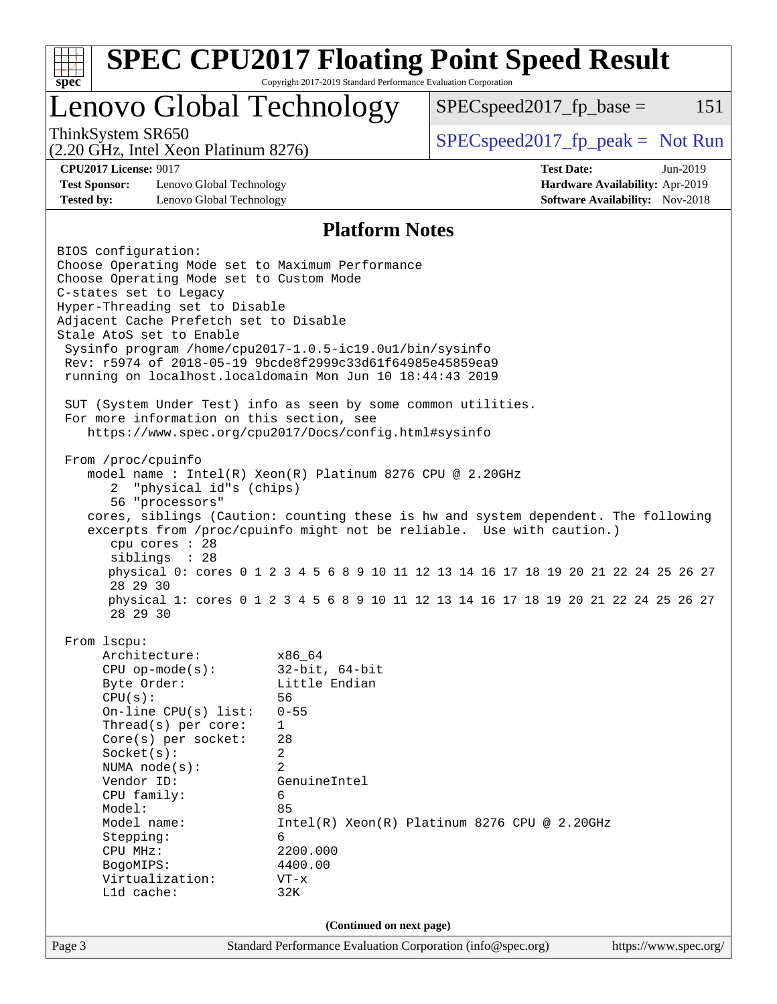| Copyright 2017-2019 Standard Performance Evaluation Corporation<br>$spec^*$<br>Lenovo Global Technology<br>$SPEC speed2017_fp\_base =$<br>ThinkSystem SR650<br>$SPEC speed2017fr peak = Not Run$<br>(2.20 GHz, Intel Xeon Platinum 8276)<br><b>CPU2017 License: 9017</b><br><b>Test Date:</b><br>Jun-2019<br>Hardware Availability: Apr-2019<br><b>Test Sponsor:</b><br>Lenovo Global Technology<br><b>Tested by:</b><br><b>Software Availability:</b> Nov-2018<br>Lenovo Global Technology<br><b>Platform Notes</b><br>BIOS configuration:<br>Choose Operating Mode set to Maximum Performance<br>Choose Operating Mode set to Custom Mode<br>C-states set to Legacy<br>Hyper-Threading set to Disable<br>Adjacent Cache Prefetch set to Disable<br>Stale AtoS set to Enable<br>Sysinfo program /home/cpu2017-1.0.5-ic19.0ul/bin/sysinfo<br>Rev: r5974 of 2018-05-19 9bcde8f2999c33d61f64985e45859ea9<br>running on localhost.localdomain Mon Jun 10 18:44:43 2019<br>SUT (System Under Test) info as seen by some common utilities.<br>For more information on this section, see<br>https://www.spec.org/cpu2017/Docs/config.html#sysinfo<br>From /proc/cpuinfo<br>model name: $Intel(R)$ Xeon $(R)$ Platinum 8276 CPU @ 2.20GHz<br>"physical id"s (chips)<br>2<br>56 "processors"<br>cores, siblings (Caution: counting these is hw and system dependent. The following<br>excerpts from /proc/cpuinfo might not be reliable. Use with caution.)<br>cpu cores : 28<br>siblings : 28<br>28 29 30<br>physical 1: cores 0 1 2 3 4 5 6 8 9 10 11 12 13 14 16 17 18 19 20 21 22 24 25 26 27<br>28 29 30<br>From 1scpu:<br>Architecture:<br>x86_64<br>$32$ -bit, $64$ -bit<br>$CPU$ op-mode( $s$ ):<br>Little Endian<br>Byte Order:<br>56<br>CPU(s):<br>On-line CPU(s) list:<br>$0 - 55$<br>Thread(s) per core:<br>1<br>Core(s) per socket:<br>28<br>2<br>Socket(s):<br>$\overline{2}$<br>NUMA node(s):<br>Vendor ID:<br>GenuineIntel<br>CPU family:<br>6<br>Model:<br>85<br>Model name:<br>$Intel(R) Xeon(R) Platinum 8276 CPU @ 2.20GHz$<br>Stepping:<br>6<br>2200.000<br>CPU MHz:<br>4400.00<br>BogoMIPS:<br>Virtualization:<br>$VT - x$<br>Lld cache:<br>32K<br>(Continued on next page)<br>Standard Performance Evaluation Corporation (info@spec.org)<br>https://www.spec.org/ | <b>SPEC CPU2017 Floating Point Speed Result</b>                                     |  |  |  |  |     |  |  |  |
|-----------------------------------------------------------------------------------------------------------------------------------------------------------------------------------------------------------------------------------------------------------------------------------------------------------------------------------------------------------------------------------------------------------------------------------------------------------------------------------------------------------------------------------------------------------------------------------------------------------------------------------------------------------------------------------------------------------------------------------------------------------------------------------------------------------------------------------------------------------------------------------------------------------------------------------------------------------------------------------------------------------------------------------------------------------------------------------------------------------------------------------------------------------------------------------------------------------------------------------------------------------------------------------------------------------------------------------------------------------------------------------------------------------------------------------------------------------------------------------------------------------------------------------------------------------------------------------------------------------------------------------------------------------------------------------------------------------------------------------------------------------------------------------------------------------------------------------------------------------------------------------------------------------------------------------------------------------------------------------------------------------------------------------------------------------------------------------------------------------------------------------------------------------------------------------------------------------------------------------------------------------------------------------|-------------------------------------------------------------------------------------|--|--|--|--|-----|--|--|--|
|                                                                                                                                                                                                                                                                                                                                                                                                                                                                                                                                                                                                                                                                                                                                                                                                                                                                                                                                                                                                                                                                                                                                                                                                                                                                                                                                                                                                                                                                                                                                                                                                                                                                                                                                                                                                                                                                                                                                                                                                                                                                                                                                                                                                                                                                                   |                                                                                     |  |  |  |  |     |  |  |  |
|                                                                                                                                                                                                                                                                                                                                                                                                                                                                                                                                                                                                                                                                                                                                                                                                                                                                                                                                                                                                                                                                                                                                                                                                                                                                                                                                                                                                                                                                                                                                                                                                                                                                                                                                                                                                                                                                                                                                                                                                                                                                                                                                                                                                                                                                                   |                                                                                     |  |  |  |  | 151 |  |  |  |
|                                                                                                                                                                                                                                                                                                                                                                                                                                                                                                                                                                                                                                                                                                                                                                                                                                                                                                                                                                                                                                                                                                                                                                                                                                                                                                                                                                                                                                                                                                                                                                                                                                                                                                                                                                                                                                                                                                                                                                                                                                                                                                                                                                                                                                                                                   |                                                                                     |  |  |  |  |     |  |  |  |
|                                                                                                                                                                                                                                                                                                                                                                                                                                                                                                                                                                                                                                                                                                                                                                                                                                                                                                                                                                                                                                                                                                                                                                                                                                                                                                                                                                                                                                                                                                                                                                                                                                                                                                                                                                                                                                                                                                                                                                                                                                                                                                                                                                                                                                                                                   |                                                                                     |  |  |  |  |     |  |  |  |
|                                                                                                                                                                                                                                                                                                                                                                                                                                                                                                                                                                                                                                                                                                                                                                                                                                                                                                                                                                                                                                                                                                                                                                                                                                                                                                                                                                                                                                                                                                                                                                                                                                                                                                                                                                                                                                                                                                                                                                                                                                                                                                                                                                                                                                                                                   |                                                                                     |  |  |  |  |     |  |  |  |
|                                                                                                                                                                                                                                                                                                                                                                                                                                                                                                                                                                                                                                                                                                                                                                                                                                                                                                                                                                                                                                                                                                                                                                                                                                                                                                                                                                                                                                                                                                                                                                                                                                                                                                                                                                                                                                                                                                                                                                                                                                                                                                                                                                                                                                                                                   | physical 0: cores 0 1 2 3 4 5 6 8 9 10 11 12 13 14 16 17 18 19 20 21 22 24 25 26 27 |  |  |  |  |     |  |  |  |
|                                                                                                                                                                                                                                                                                                                                                                                                                                                                                                                                                                                                                                                                                                                                                                                                                                                                                                                                                                                                                                                                                                                                                                                                                                                                                                                                                                                                                                                                                                                                                                                                                                                                                                                                                                                                                                                                                                                                                                                                                                                                                                                                                                                                                                                                                   |                                                                                     |  |  |  |  |     |  |  |  |
|                                                                                                                                                                                                                                                                                                                                                                                                                                                                                                                                                                                                                                                                                                                                                                                                                                                                                                                                                                                                                                                                                                                                                                                                                                                                                                                                                                                                                                                                                                                                                                                                                                                                                                                                                                                                                                                                                                                                                                                                                                                                                                                                                                                                                                                                                   |                                                                                     |  |  |  |  |     |  |  |  |
|                                                                                                                                                                                                                                                                                                                                                                                                                                                                                                                                                                                                                                                                                                                                                                                                                                                                                                                                                                                                                                                                                                                                                                                                                                                                                                                                                                                                                                                                                                                                                                                                                                                                                                                                                                                                                                                                                                                                                                                                                                                                                                                                                                                                                                                                                   | Page 3                                                                              |  |  |  |  |     |  |  |  |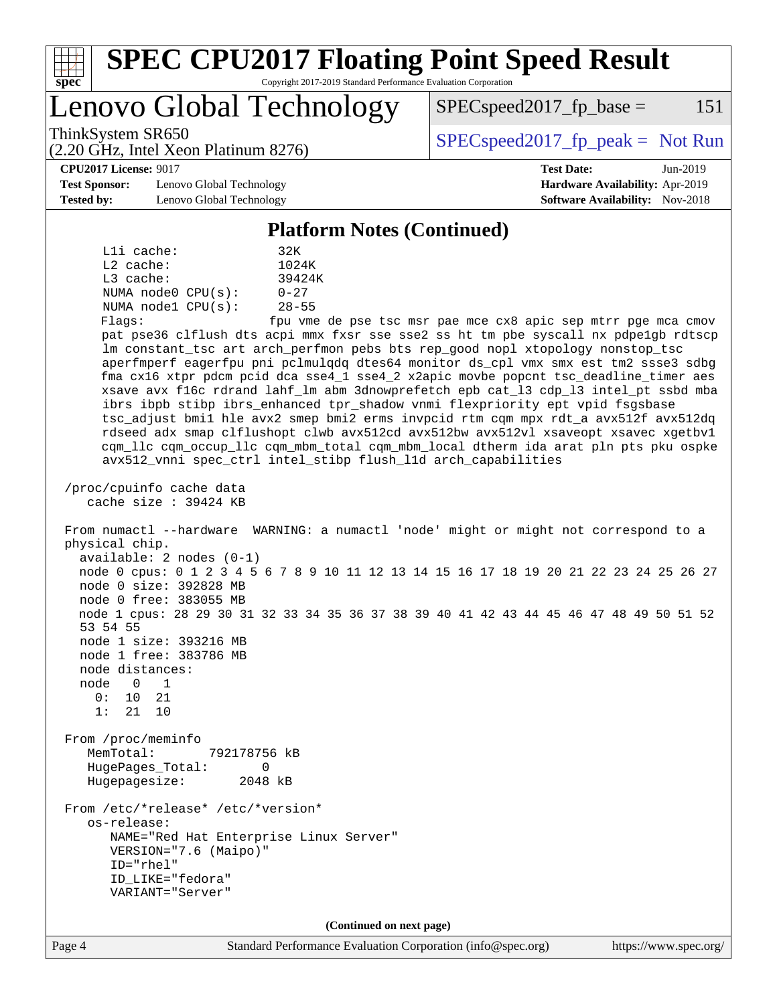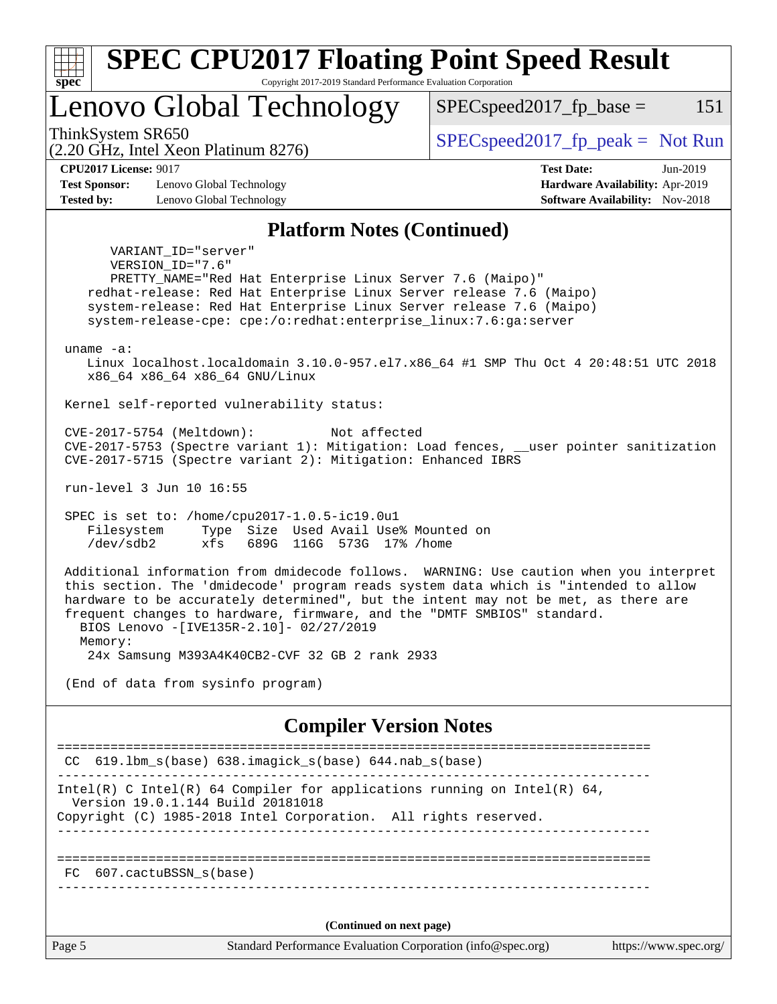

============================================================================== FC 607.cactuBSSN\_s(base)

------------------------------------------------------------------------------

**(Continued on next page)**

Page 5 Standard Performance Evaluation Corporation [\(info@spec.org\)](mailto:info@spec.org) <https://www.spec.org/>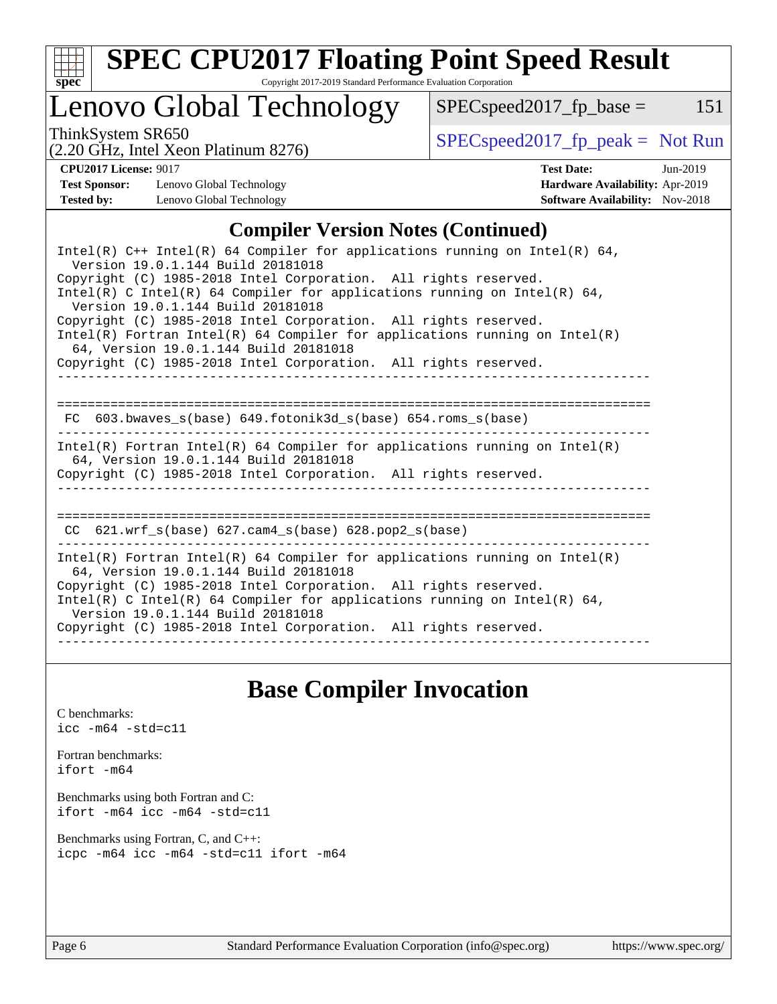

# **[SPEC CPU2017 Floating Point Speed Result](http://www.spec.org/auto/cpu2017/Docs/result-fields.html#SPECCPU2017FloatingPointSpeedResult)**

Copyright 2017-2019 Standard Performance Evaluation Corporation

### Lenovo Global Technology

ThinkSystem SR650<br>  $(2.20 \text{ GHz. Intel Yoon Plotinum } 8276)$  [SPECspeed2017\\_fp\\_peak =](http://www.spec.org/auto/cpu2017/Docs/result-fields.html#SPECspeed2017fppeak) Not Run

 $SPEC speed2017_fp\_base = 151$ 

#### (2.20 GHz, Intel Xeon Platinum 8276)

**[Test Sponsor:](http://www.spec.org/auto/cpu2017/Docs/result-fields.html#TestSponsor)** Lenovo Global Technology **[Hardware Availability:](http://www.spec.org/auto/cpu2017/Docs/result-fields.html#HardwareAvailability)** Apr-2019

**[CPU2017 License:](http://www.spec.org/auto/cpu2017/Docs/result-fields.html#CPU2017License)** 9017 **[Test Date:](http://www.spec.org/auto/cpu2017/Docs/result-fields.html#TestDate)** Jun-2019 **[Tested by:](http://www.spec.org/auto/cpu2017/Docs/result-fields.html#Testedby)** Lenovo Global Technology **[Software Availability:](http://www.spec.org/auto/cpu2017/Docs/result-fields.html#SoftwareAvailability)** Nov-2018

#### **[Compiler Version Notes \(Continued\)](http://www.spec.org/auto/cpu2017/Docs/result-fields.html#CompilerVersionNotes)**

| Intel(R) $C++$ Intel(R) 64 Compiler for applications running on Intel(R) 64,<br>Version 19.0.1.144 Build 20181018                                                                                                                                   |  |  |  |  |  |
|-----------------------------------------------------------------------------------------------------------------------------------------------------------------------------------------------------------------------------------------------------|--|--|--|--|--|
| Copyright (C) 1985-2018 Intel Corporation. All rights reserved.<br>Intel(R) C Intel(R) 64 Compiler for applications running on Intel(R) 64,<br>Version 19.0.1.144 Build 20181018                                                                    |  |  |  |  |  |
| Copyright (C) 1985-2018 Intel Corporation. All rights reserved.<br>Intel(R) Fortran Intel(R) 64 Compiler for applications running on Intel(R)<br>64, Version 19.0.1.144 Build 20181018                                                              |  |  |  |  |  |
| Copyright (C) 1985-2018 Intel Corporation. All rights reserved.                                                                                                                                                                                     |  |  |  |  |  |
| 603.bwaves s(base) 649.fotonik3d s(base) 654.roms s(base)<br>FC.                                                                                                                                                                                    |  |  |  |  |  |
| $Intel(R)$ Fortran Intel(R) 64 Compiler for applications running on Intel(R)<br>64, Version 19.0.1.144 Build 20181018<br>Copyright (C) 1985-2018 Intel Corporation. All rights reserved.                                                            |  |  |  |  |  |
| $CC$ 621.wrf_s(base) 627.cam4_s(base) 628.pop2_s(base)                                                                                                                                                                                              |  |  |  |  |  |
|                                                                                                                                                                                                                                                     |  |  |  |  |  |
| $Intel(R)$ Fortran Intel(R) 64 Compiler for applications running on Intel(R)<br>64, Version 19.0.1.144 Build 20181018                                                                                                                               |  |  |  |  |  |
| Copyright (C) 1985-2018 Intel Corporation. All rights reserved.<br>Intel(R) C Intel(R) 64 Compiler for applications running on Intel(R) 64,<br>Version 19.0.1.144 Build 20181018<br>Copyright (C) 1985-2018 Intel Corporation. All rights reserved. |  |  |  |  |  |
|                                                                                                                                                                                                                                                     |  |  |  |  |  |

### **[Base Compiler Invocation](http://www.spec.org/auto/cpu2017/Docs/result-fields.html#BaseCompilerInvocation)**

[C benchmarks](http://www.spec.org/auto/cpu2017/Docs/result-fields.html#Cbenchmarks): [icc -m64 -std=c11](http://www.spec.org/cpu2017/results/res2019q3/cpu2017-20190624-15522.flags.html#user_CCbase_intel_icc_64bit_c11_33ee0cdaae7deeeab2a9725423ba97205ce30f63b9926c2519791662299b76a0318f32ddfffdc46587804de3178b4f9328c46fa7c2b0cd779d7a61945c91cd35)

[Fortran benchmarks](http://www.spec.org/auto/cpu2017/Docs/result-fields.html#Fortranbenchmarks): [ifort -m64](http://www.spec.org/cpu2017/results/res2019q3/cpu2017-20190624-15522.flags.html#user_FCbase_intel_ifort_64bit_24f2bb282fbaeffd6157abe4f878425411749daecae9a33200eee2bee2fe76f3b89351d69a8130dd5949958ce389cf37ff59a95e7a40d588e8d3a57e0c3fd751)

[Benchmarks using both Fortran and C](http://www.spec.org/auto/cpu2017/Docs/result-fields.html#BenchmarksusingbothFortranandC): [ifort -m64](http://www.spec.org/cpu2017/results/res2019q3/cpu2017-20190624-15522.flags.html#user_CC_FCbase_intel_ifort_64bit_24f2bb282fbaeffd6157abe4f878425411749daecae9a33200eee2bee2fe76f3b89351d69a8130dd5949958ce389cf37ff59a95e7a40d588e8d3a57e0c3fd751) [icc -m64 -std=c11](http://www.spec.org/cpu2017/results/res2019q3/cpu2017-20190624-15522.flags.html#user_CC_FCbase_intel_icc_64bit_c11_33ee0cdaae7deeeab2a9725423ba97205ce30f63b9926c2519791662299b76a0318f32ddfffdc46587804de3178b4f9328c46fa7c2b0cd779d7a61945c91cd35)

[Benchmarks using Fortran, C, and C++:](http://www.spec.org/auto/cpu2017/Docs/result-fields.html#BenchmarksusingFortranCandCXX) [icpc -m64](http://www.spec.org/cpu2017/results/res2019q3/cpu2017-20190624-15522.flags.html#user_CC_CXX_FCbase_intel_icpc_64bit_4ecb2543ae3f1412ef961e0650ca070fec7b7afdcd6ed48761b84423119d1bf6bdf5cad15b44d48e7256388bc77273b966e5eb805aefd121eb22e9299b2ec9d9) [icc -m64 -std=c11](http://www.spec.org/cpu2017/results/res2019q3/cpu2017-20190624-15522.flags.html#user_CC_CXX_FCbase_intel_icc_64bit_c11_33ee0cdaae7deeeab2a9725423ba97205ce30f63b9926c2519791662299b76a0318f32ddfffdc46587804de3178b4f9328c46fa7c2b0cd779d7a61945c91cd35) [ifort -m64](http://www.spec.org/cpu2017/results/res2019q3/cpu2017-20190624-15522.flags.html#user_CC_CXX_FCbase_intel_ifort_64bit_24f2bb282fbaeffd6157abe4f878425411749daecae9a33200eee2bee2fe76f3b89351d69a8130dd5949958ce389cf37ff59a95e7a40d588e8d3a57e0c3fd751)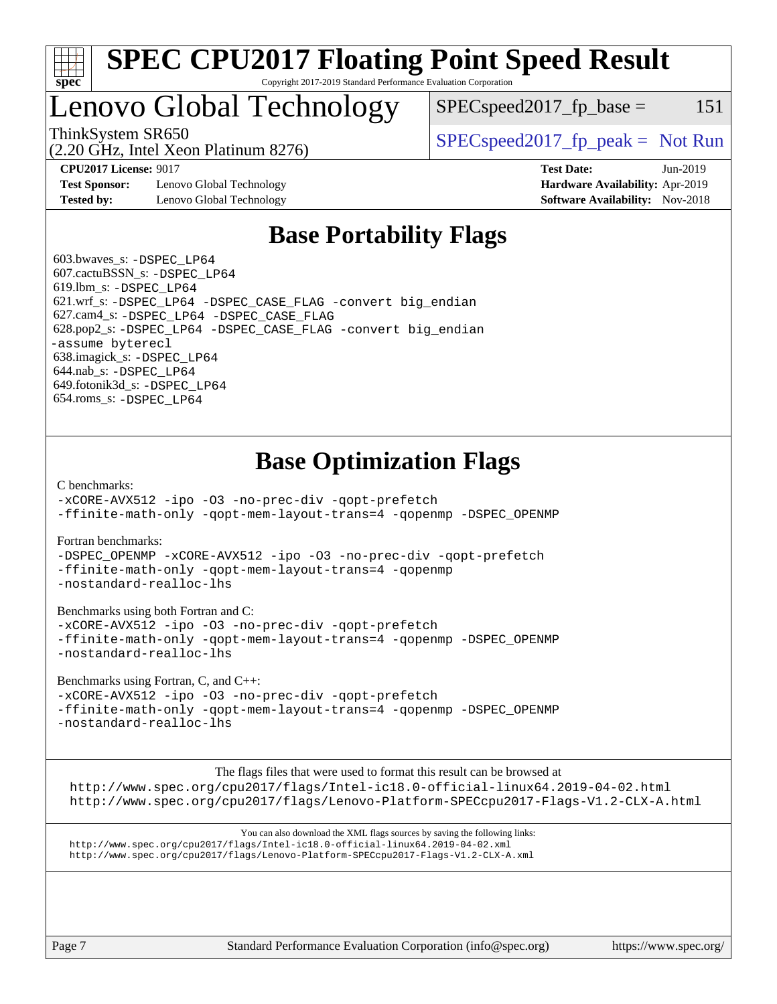

#### **[SPEC CPU2017 Floating Point Speed Result](http://www.spec.org/auto/cpu2017/Docs/result-fields.html#SPECCPU2017FloatingPointSpeedResult)** Copyright 2017-2019 Standard Performance Evaluation Corporation

## Lenovo Global Technology

ThinkSystem SR650<br>  $SPEC speed2017<sub>rfp</sub> peak = Not Run$ 

 $SPEC speed2017<sub>fp</sub> base =  $151$$ 

**[Test Sponsor:](http://www.spec.org/auto/cpu2017/Docs/result-fields.html#TestSponsor)** Lenovo Global Technology **[Hardware Availability:](http://www.spec.org/auto/cpu2017/Docs/result-fields.html#HardwareAvailability)** Apr-2019 **[Tested by:](http://www.spec.org/auto/cpu2017/Docs/result-fields.html#Testedby)** Lenovo Global Technology **[Software Availability:](http://www.spec.org/auto/cpu2017/Docs/result-fields.html#SoftwareAvailability)** Nov-2018

(2.20 GHz, Intel Xeon Platinum 8276)

**[CPU2017 License:](http://www.spec.org/auto/cpu2017/Docs/result-fields.html#CPU2017License)** 9017 **[Test Date:](http://www.spec.org/auto/cpu2017/Docs/result-fields.html#TestDate)** Jun-2019

### **[Base Portability Flags](http://www.spec.org/auto/cpu2017/Docs/result-fields.html#BasePortabilityFlags)**

 603.bwaves\_s: [-DSPEC\\_LP64](http://www.spec.org/cpu2017/results/res2019q3/cpu2017-20190624-15522.flags.html#suite_basePORTABILITY603_bwaves_s_DSPEC_LP64) 607.cactuBSSN\_s: [-DSPEC\\_LP64](http://www.spec.org/cpu2017/results/res2019q3/cpu2017-20190624-15522.flags.html#suite_basePORTABILITY607_cactuBSSN_s_DSPEC_LP64) 619.lbm\_s: [-DSPEC\\_LP64](http://www.spec.org/cpu2017/results/res2019q3/cpu2017-20190624-15522.flags.html#suite_basePORTABILITY619_lbm_s_DSPEC_LP64) 621.wrf\_s: [-DSPEC\\_LP64](http://www.spec.org/cpu2017/results/res2019q3/cpu2017-20190624-15522.flags.html#suite_basePORTABILITY621_wrf_s_DSPEC_LP64) [-DSPEC\\_CASE\\_FLAG](http://www.spec.org/cpu2017/results/res2019q3/cpu2017-20190624-15522.flags.html#b621.wrf_s_baseCPORTABILITY_DSPEC_CASE_FLAG) [-convert big\\_endian](http://www.spec.org/cpu2017/results/res2019q3/cpu2017-20190624-15522.flags.html#user_baseFPORTABILITY621_wrf_s_convert_big_endian_c3194028bc08c63ac5d04de18c48ce6d347e4e562e8892b8bdbdc0214820426deb8554edfa529a3fb25a586e65a3d812c835984020483e7e73212c4d31a38223) 627.cam4\_s: [-DSPEC\\_LP64](http://www.spec.org/cpu2017/results/res2019q3/cpu2017-20190624-15522.flags.html#suite_basePORTABILITY627_cam4_s_DSPEC_LP64) [-DSPEC\\_CASE\\_FLAG](http://www.spec.org/cpu2017/results/res2019q3/cpu2017-20190624-15522.flags.html#b627.cam4_s_baseCPORTABILITY_DSPEC_CASE_FLAG) 628.pop2\_s: [-DSPEC\\_LP64](http://www.spec.org/cpu2017/results/res2019q3/cpu2017-20190624-15522.flags.html#suite_basePORTABILITY628_pop2_s_DSPEC_LP64) [-DSPEC\\_CASE\\_FLAG](http://www.spec.org/cpu2017/results/res2019q3/cpu2017-20190624-15522.flags.html#b628.pop2_s_baseCPORTABILITY_DSPEC_CASE_FLAG) [-convert big\\_endian](http://www.spec.org/cpu2017/results/res2019q3/cpu2017-20190624-15522.flags.html#user_baseFPORTABILITY628_pop2_s_convert_big_endian_c3194028bc08c63ac5d04de18c48ce6d347e4e562e8892b8bdbdc0214820426deb8554edfa529a3fb25a586e65a3d812c835984020483e7e73212c4d31a38223) [-assume byterecl](http://www.spec.org/cpu2017/results/res2019q3/cpu2017-20190624-15522.flags.html#user_baseFPORTABILITY628_pop2_s_assume_byterecl_7e47d18b9513cf18525430bbf0f2177aa9bf368bc7a059c09b2c06a34b53bd3447c950d3f8d6c70e3faf3a05c8557d66a5798b567902e8849adc142926523472) 638.imagick\_s: [-DSPEC\\_LP64](http://www.spec.org/cpu2017/results/res2019q3/cpu2017-20190624-15522.flags.html#suite_basePORTABILITY638_imagick_s_DSPEC_LP64) 644.nab\_s: [-DSPEC\\_LP64](http://www.spec.org/cpu2017/results/res2019q3/cpu2017-20190624-15522.flags.html#suite_basePORTABILITY644_nab_s_DSPEC_LP64) 649.fotonik3d\_s: [-DSPEC\\_LP64](http://www.spec.org/cpu2017/results/res2019q3/cpu2017-20190624-15522.flags.html#suite_basePORTABILITY649_fotonik3d_s_DSPEC_LP64) 654.roms\_s: [-DSPEC\\_LP64](http://www.spec.org/cpu2017/results/res2019q3/cpu2017-20190624-15522.flags.html#suite_basePORTABILITY654_roms_s_DSPEC_LP64)

### **[Base Optimization Flags](http://www.spec.org/auto/cpu2017/Docs/result-fields.html#BaseOptimizationFlags)**

[C benchmarks](http://www.spec.org/auto/cpu2017/Docs/result-fields.html#Cbenchmarks):

[-xCORE-AVX512](http://www.spec.org/cpu2017/results/res2019q3/cpu2017-20190624-15522.flags.html#user_CCbase_f-xCORE-AVX512) [-ipo](http://www.spec.org/cpu2017/results/res2019q3/cpu2017-20190624-15522.flags.html#user_CCbase_f-ipo) [-O3](http://www.spec.org/cpu2017/results/res2019q3/cpu2017-20190624-15522.flags.html#user_CCbase_f-O3) [-no-prec-div](http://www.spec.org/cpu2017/results/res2019q3/cpu2017-20190624-15522.flags.html#user_CCbase_f-no-prec-div) [-qopt-prefetch](http://www.spec.org/cpu2017/results/res2019q3/cpu2017-20190624-15522.flags.html#user_CCbase_f-qopt-prefetch) [-ffinite-math-only](http://www.spec.org/cpu2017/results/res2019q3/cpu2017-20190624-15522.flags.html#user_CCbase_f_finite_math_only_cb91587bd2077682c4b38af759c288ed7c732db004271a9512da14a4f8007909a5f1427ecbf1a0fb78ff2a814402c6114ac565ca162485bbcae155b5e4258871) [-qopt-mem-layout-trans=4](http://www.spec.org/cpu2017/results/res2019q3/cpu2017-20190624-15522.flags.html#user_CCbase_f-qopt-mem-layout-trans_fa39e755916c150a61361b7846f310bcdf6f04e385ef281cadf3647acec3f0ae266d1a1d22d972a7087a248fd4e6ca390a3634700869573d231a252c784941a8) [-qopenmp](http://www.spec.org/cpu2017/results/res2019q3/cpu2017-20190624-15522.flags.html#user_CCbase_qopenmp_16be0c44f24f464004c6784a7acb94aca937f053568ce72f94b139a11c7c168634a55f6653758ddd83bcf7b8463e8028bb0b48b77bcddc6b78d5d95bb1df2967) [-DSPEC\\_OPENMP](http://www.spec.org/cpu2017/results/res2019q3/cpu2017-20190624-15522.flags.html#suite_CCbase_DSPEC_OPENMP)

[Fortran benchmarks](http://www.spec.org/auto/cpu2017/Docs/result-fields.html#Fortranbenchmarks):

[-DSPEC\\_OPENMP](http://www.spec.org/cpu2017/results/res2019q3/cpu2017-20190624-15522.flags.html#suite_FCbase_DSPEC_OPENMP) [-xCORE-AVX512](http://www.spec.org/cpu2017/results/res2019q3/cpu2017-20190624-15522.flags.html#user_FCbase_f-xCORE-AVX512) [-ipo](http://www.spec.org/cpu2017/results/res2019q3/cpu2017-20190624-15522.flags.html#user_FCbase_f-ipo) [-O3](http://www.spec.org/cpu2017/results/res2019q3/cpu2017-20190624-15522.flags.html#user_FCbase_f-O3) [-no-prec-div](http://www.spec.org/cpu2017/results/res2019q3/cpu2017-20190624-15522.flags.html#user_FCbase_f-no-prec-div) [-qopt-prefetch](http://www.spec.org/cpu2017/results/res2019q3/cpu2017-20190624-15522.flags.html#user_FCbase_f-qopt-prefetch) [-ffinite-math-only](http://www.spec.org/cpu2017/results/res2019q3/cpu2017-20190624-15522.flags.html#user_FCbase_f_finite_math_only_cb91587bd2077682c4b38af759c288ed7c732db004271a9512da14a4f8007909a5f1427ecbf1a0fb78ff2a814402c6114ac565ca162485bbcae155b5e4258871) [-qopt-mem-layout-trans=4](http://www.spec.org/cpu2017/results/res2019q3/cpu2017-20190624-15522.flags.html#user_FCbase_f-qopt-mem-layout-trans_fa39e755916c150a61361b7846f310bcdf6f04e385ef281cadf3647acec3f0ae266d1a1d22d972a7087a248fd4e6ca390a3634700869573d231a252c784941a8) [-qopenmp](http://www.spec.org/cpu2017/results/res2019q3/cpu2017-20190624-15522.flags.html#user_FCbase_qopenmp_16be0c44f24f464004c6784a7acb94aca937f053568ce72f94b139a11c7c168634a55f6653758ddd83bcf7b8463e8028bb0b48b77bcddc6b78d5d95bb1df2967) [-nostandard-realloc-lhs](http://www.spec.org/cpu2017/results/res2019q3/cpu2017-20190624-15522.flags.html#user_FCbase_f_2003_std_realloc_82b4557e90729c0f113870c07e44d33d6f5a304b4f63d4c15d2d0f1fab99f5daaed73bdb9275d9ae411527f28b936061aa8b9c8f2d63842963b95c9dd6426b8a)

[Benchmarks using both Fortran and C](http://www.spec.org/auto/cpu2017/Docs/result-fields.html#BenchmarksusingbothFortranandC):

[-xCORE-AVX512](http://www.spec.org/cpu2017/results/res2019q3/cpu2017-20190624-15522.flags.html#user_CC_FCbase_f-xCORE-AVX512) [-ipo](http://www.spec.org/cpu2017/results/res2019q3/cpu2017-20190624-15522.flags.html#user_CC_FCbase_f-ipo) [-O3](http://www.spec.org/cpu2017/results/res2019q3/cpu2017-20190624-15522.flags.html#user_CC_FCbase_f-O3) [-no-prec-div](http://www.spec.org/cpu2017/results/res2019q3/cpu2017-20190624-15522.flags.html#user_CC_FCbase_f-no-prec-div) [-qopt-prefetch](http://www.spec.org/cpu2017/results/res2019q3/cpu2017-20190624-15522.flags.html#user_CC_FCbase_f-qopt-prefetch) [-ffinite-math-only](http://www.spec.org/cpu2017/results/res2019q3/cpu2017-20190624-15522.flags.html#user_CC_FCbase_f_finite_math_only_cb91587bd2077682c4b38af759c288ed7c732db004271a9512da14a4f8007909a5f1427ecbf1a0fb78ff2a814402c6114ac565ca162485bbcae155b5e4258871) [-qopt-mem-layout-trans=4](http://www.spec.org/cpu2017/results/res2019q3/cpu2017-20190624-15522.flags.html#user_CC_FCbase_f-qopt-mem-layout-trans_fa39e755916c150a61361b7846f310bcdf6f04e385ef281cadf3647acec3f0ae266d1a1d22d972a7087a248fd4e6ca390a3634700869573d231a252c784941a8) [-qopenmp](http://www.spec.org/cpu2017/results/res2019q3/cpu2017-20190624-15522.flags.html#user_CC_FCbase_qopenmp_16be0c44f24f464004c6784a7acb94aca937f053568ce72f94b139a11c7c168634a55f6653758ddd83bcf7b8463e8028bb0b48b77bcddc6b78d5d95bb1df2967) [-DSPEC\\_OPENMP](http://www.spec.org/cpu2017/results/res2019q3/cpu2017-20190624-15522.flags.html#suite_CC_FCbase_DSPEC_OPENMP) [-nostandard-realloc-lhs](http://www.spec.org/cpu2017/results/res2019q3/cpu2017-20190624-15522.flags.html#user_CC_FCbase_f_2003_std_realloc_82b4557e90729c0f113870c07e44d33d6f5a304b4f63d4c15d2d0f1fab99f5daaed73bdb9275d9ae411527f28b936061aa8b9c8f2d63842963b95c9dd6426b8a)

[Benchmarks using Fortran, C, and C++:](http://www.spec.org/auto/cpu2017/Docs/result-fields.html#BenchmarksusingFortranCandCXX)

[-xCORE-AVX512](http://www.spec.org/cpu2017/results/res2019q3/cpu2017-20190624-15522.flags.html#user_CC_CXX_FCbase_f-xCORE-AVX512) [-ipo](http://www.spec.org/cpu2017/results/res2019q3/cpu2017-20190624-15522.flags.html#user_CC_CXX_FCbase_f-ipo) [-O3](http://www.spec.org/cpu2017/results/res2019q3/cpu2017-20190624-15522.flags.html#user_CC_CXX_FCbase_f-O3) [-no-prec-div](http://www.spec.org/cpu2017/results/res2019q3/cpu2017-20190624-15522.flags.html#user_CC_CXX_FCbase_f-no-prec-div) [-qopt-prefetch](http://www.spec.org/cpu2017/results/res2019q3/cpu2017-20190624-15522.flags.html#user_CC_CXX_FCbase_f-qopt-prefetch) [-ffinite-math-only](http://www.spec.org/cpu2017/results/res2019q3/cpu2017-20190624-15522.flags.html#user_CC_CXX_FCbase_f_finite_math_only_cb91587bd2077682c4b38af759c288ed7c732db004271a9512da14a4f8007909a5f1427ecbf1a0fb78ff2a814402c6114ac565ca162485bbcae155b5e4258871) [-qopt-mem-layout-trans=4](http://www.spec.org/cpu2017/results/res2019q3/cpu2017-20190624-15522.flags.html#user_CC_CXX_FCbase_f-qopt-mem-layout-trans_fa39e755916c150a61361b7846f310bcdf6f04e385ef281cadf3647acec3f0ae266d1a1d22d972a7087a248fd4e6ca390a3634700869573d231a252c784941a8) [-qopenmp](http://www.spec.org/cpu2017/results/res2019q3/cpu2017-20190624-15522.flags.html#user_CC_CXX_FCbase_qopenmp_16be0c44f24f464004c6784a7acb94aca937f053568ce72f94b139a11c7c168634a55f6653758ddd83bcf7b8463e8028bb0b48b77bcddc6b78d5d95bb1df2967) [-DSPEC\\_OPENMP](http://www.spec.org/cpu2017/results/res2019q3/cpu2017-20190624-15522.flags.html#suite_CC_CXX_FCbase_DSPEC_OPENMP) [-nostandard-realloc-lhs](http://www.spec.org/cpu2017/results/res2019q3/cpu2017-20190624-15522.flags.html#user_CC_CXX_FCbase_f_2003_std_realloc_82b4557e90729c0f113870c07e44d33d6f5a304b4f63d4c15d2d0f1fab99f5daaed73bdb9275d9ae411527f28b936061aa8b9c8f2d63842963b95c9dd6426b8a)

The flags files that were used to format this result can be browsed at

<http://www.spec.org/cpu2017/flags/Intel-ic18.0-official-linux64.2019-04-02.html> <http://www.spec.org/cpu2017/flags/Lenovo-Platform-SPECcpu2017-Flags-V1.2-CLX-A.html>

You can also download the XML flags sources by saving the following links: <http://www.spec.org/cpu2017/flags/Intel-ic18.0-official-linux64.2019-04-02.xml> <http://www.spec.org/cpu2017/flags/Lenovo-Platform-SPECcpu2017-Flags-V1.2-CLX-A.xml>